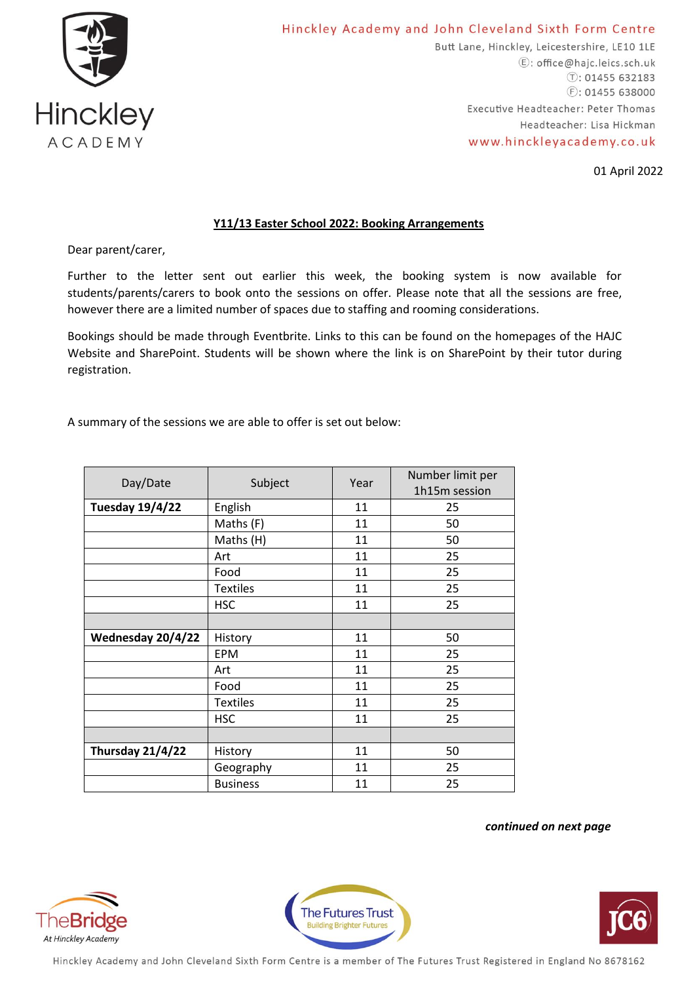

Butt Lane, Hinckley, Leicestershire, LE10 1LE E: office@hajc.leics.sch.uk  $\circ$ : 01455 632183  $E: 01455638000$ Executive Headteacher: Peter Thomas Headteacher: Lisa Hickman www.hinckleyacademy.co.uk

01 April 2022

## **Y11/13 Easter School 2022: Booking Arrangements**

Dear parent/carer,

Further to the letter sent out earlier this week, the booking system is now available for students/parents/carers to book onto the sessions on offer. Please note that all the sessions are free, however there are a limited number of spaces due to staffing and rooming considerations.

Bookings should be made through Eventbrite. Links to this can be found on the homepages of the HAJC Website and SharePoint. Students will be shown where the link is on SharePoint by their tutor during registration.

A summary of the sessions we are able to offer is set out below:

| Day/Date               | Subject         | Year | Number limit per |
|------------------------|-----------------|------|------------------|
|                        |                 |      | 1h15m session    |
| <b>Tuesday 19/4/22</b> | English         | 11   | 25               |
|                        | Maths (F)       | 11   | 50               |
|                        | Maths (H)       | 11   | 50               |
|                        | Art             | 11   | 25               |
|                        | Food            | 11   | 25               |
|                        | <b>Textiles</b> | 11   | 25               |
|                        | <b>HSC</b>      | 11   | 25               |
|                        |                 |      |                  |
| Wednesday 20/4/22      | History         | 11   | 50               |
|                        | <b>EPM</b>      | 11   | 25               |
|                        | Art             | 11   | 25               |
|                        | Food            | 11   | 25               |
|                        | <b>Textiles</b> | 11   | 25               |
|                        | <b>HSC</b>      | 11   | 25               |
|                        |                 |      |                  |
| Thursday 21/4/22       | History         | 11   | 50               |
|                        | Geography       | 11   | 25               |
|                        | <b>Business</b> | 11   | 25               |

*continued on next page*







Hinckley Academy and John Cleveland Sixth Form Centre is a member of The Futures Trust Registered in England No 8678162